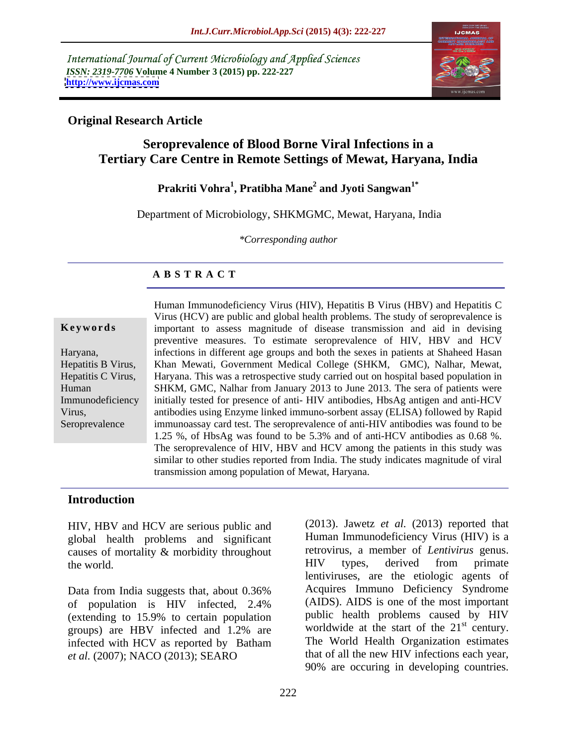International Journal of Current Microbiology and Applied Sciences *ISSN: 2319-7706* **Volume 4 Number 3 (2015) pp. 222-227 <http://www.ijcmas.com>**



### **Original Research Article**

# **Seroprevalence of Blood Borne Viral Infections in a Tertiary Care Centre in Remote Settings of Mewat, Haryana, India**

#### **Prakriti Vohra<sup>1</sup> , Pratibha Mane<sup>2</sup> and Jyoti Sangwan1\***

Department of Microbiology, SHKMGMC, Mewat, Haryana, India

*\*Corresponding author*

## **A B S T R A C T**

Seroprevalence

Human Immunodeficiency Virus (HIV), Hepatitis B Virus (HBV) and Hepatitis C Virus (HCV) are public and global health problems. The study of seroprevalence is **Keywords** important to assess magnitude of disease transmission and aid in devising preventive measures. To estimate seroprevalence of HIV, HBV and HCV infections in different age groups and both the sexes in patients at Shaheed Hasan Haryana, Hepatitis B Virus, Khan Mewati, Government Medical College (SHKM, GMC), Nalhar, Mewat, Hepatitis C Virus, Haryana. This was a retrospective study carried out on hospital based population in SHKM, GMC, Nalhar from January 2013 to June 2013. The sera of patients were Human Immunodeficiency initially tested for presence of anti- HIV antibodies, HbsAg antigen and anti-HCV antibodies using Enzyme linked immuno-sorbent assay (ELISA) followed by Rapid Virus, immunoassay card test. The seroprevalence of anti-HIV antibodies was found to be 1.25 %, of HbsAg was found to be 5.3% and of anti-HCV antibodies as 0.68 %. The seroprevalence of HIV, HBV and HCV among the patients in this study was similar to other studies reported from India. The study indicates magnitude of viral transmission among population of Mewat, Haryana.

## **Introduction**

HIV, HBV and HCV are serious public and global health problems and significant causes of mortality & morbidity throughout retrovirus, a member of *Lentivirus* genus.<br>
HIV types, derived from primate

(extending to 15.9% to certain population groups) are HBV infected and 1.2% are infected with HCV as reported by Batham

the world. The second server that types, derived from primate the world. Data from India suggests that, about 0.36% Acquires Immuno Deficiency Syndrome of population is HIV infected, 2.4% (AIDS). AIDS is one of the most important *et al.* (2007); NACO (2013); SEARO that of all the new HIV infections each year, (2013). Jawetz *et al.* (2013) reported that Human Immunodeficiency Virus (HIV) is a retrovirus, a member of *Lentivirus* genus. HIV types, derived from primate lentiviruses, are the etiologic agents of Acquires Immuno Deficiency Syndrome (AIDS). AIDS is one of the most important public health problems caused by HIV worldwide at the start of the  $21<sup>st</sup>$  century. st century. The World Health Organization estimates 90% are occuring in developing countries.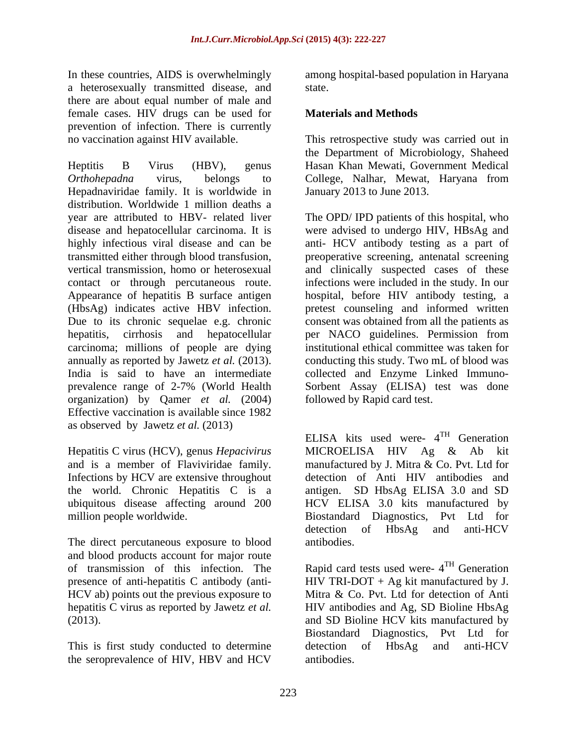In these countries, AIDS is overwhelmingly among hospital-based population in Haryana a heterosexually transmitted disease, and there are about equal number of male and female cases. HIV drugs can be used for prevention of infection. There is currently

Heptitis B Virus (HBV), genus Hasan Khan Mewati, Government Medical *Orthohepadna* virus, belongs to College, Nalhar, Mewat, Haryana from Hepadnaviridae family. It is worldwide in distribution. Worldwide 1 million deaths a year are attributed to HBV- related liver The OPD/ IPD patients of this hospital, who disease and hepatocellular carcinoma. It is were advised to undergo HIV, HBsAg and highly infectious viral disease and can be anti- HCV antibody testing as a part of transmitted either through blood transfusion, preoperative screening, antenatal screening vertical transmission, homo or heterosexual and clinically suspected cases of these contact or through percutaneous route. infections were included in the study. In our Appearance of hepatitis B surface antigen hospital, before HIV antibody testing, a (HbsAg) indicates active HBV infection. pretest counseling and informed written Due to its chronic sequelae e.g. chronic consent was obtained from all the patients as hepatitis, cirrhosis and hepatocellular per NACO guidelines. Permission from carcinoma; millions of people are dying institutional ethical committee was taken for annually as reported by Jawetz *et al.* (2013). conducting this study. Two mL of blood was India is said to have an intermediate collected and Enzyme Linked Immuno prevalence range of 2-7% (World Health Sorbent Assay (ELISA) test was done organization) by Qamer *et al.* (2004) followed by Rapid card test.<br>Effective vaccination is available since 1982 as observed by Jawetz *et al.* (2013)

Infections by HCV are extensive throughout the world. Chronic Hepatitis C is a

The direct percutaneous exposure to blood antibodies. and blood products account for major route presence of anti-hepatitis C antibody (anti- HCV ab) points out the previous exposure to

This is first study conducted to determine detection of HbsAg and anti-HCV the seroprevalence of HIV, HBV and HCV

state.

## **Materials and Methods**

no vaccination against HIV available. This retrospective study was carried out in the Department of Microbiology, Shaheed January 2013 to June 2013.

followed by Rapid card test.

Hepatitis C virus (HCV), genus *Hepacivirus* MICROELISA HIV Ag & Ab kit and is a member of Flaviviridae family. manufactured by J. Mitra & Co. Pvt. Ltd for ubiquitous disease affecting around 200 HCV ELISA 3.0 kits manufactured by million people worldwide. Biostandard Diagnostics, Pvt Ltd for ELISA kits used were- 4TH Generation detection of Anti HIV antibodies and antigen. SD HbsAg ELISA 3.0 and SD detection of HbsAg and anti-HCV antibodies.

of transmission of this infection. The Rapid card tests used were- $4^{TH}$  Generation hepatitis C virus as reported by Jawetz *et al.* HIV antibodies and Ag, SD Bioline HbsAg (2013). and SD Bioline HCV kits manufactured by HIV TRI-DOT  $+$  Ag kit manufactured by J. Mitra & Co. Pvt. Ltd for detection of Anti Biostandard Diagnostics, Pvt Ltd for detection of HbsAg and anti-HCV antibodies.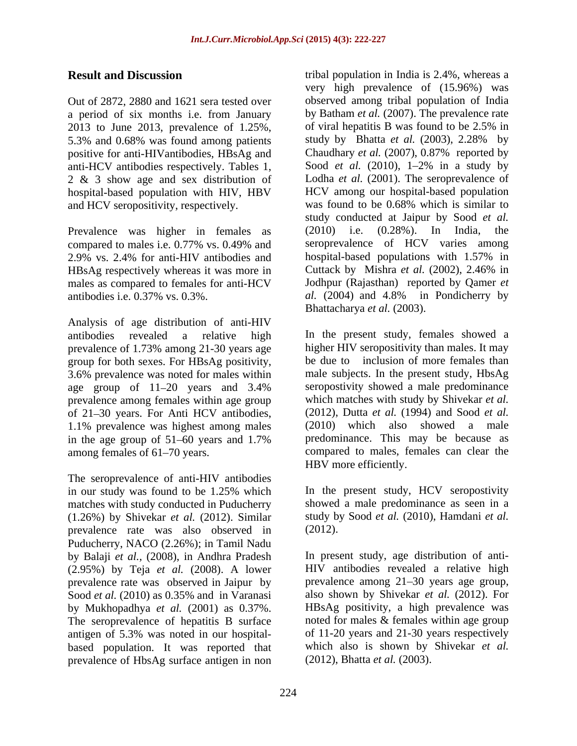a period of six months i.e. from January by Batham *et al.* (2007). The prevalence rate 2013 to June 2013, prevalence of 1.25%. of viral hepatitis B was found to be 2.5% in 2013 to June 2013, prevalence of 1.25%, of viral hepatitis B was found to be 2.5% in 5.3% and 0.68% was found among patients study by Bhatta *et al.* (2003), 2.28% by 5.3% and 0.68% was found among patients study by Bhatta *et al.* (2003), 2.28% by positive for anti-HIV antibodies. HBsAg and Chaudhary *et al.* (2007), 0.87% reported by positive for anti-HIVantibodies, HBsAg and anti-HCV antibodies respectively. Tables 1, 2 & 3 show age and sex distribution of and HCV seropositivity, respectively. was found to be 0.68% which is similar to

Prevalence was higher in females as (2010) i.e. (0.28%). In India, the compared to males i.e. 0.77% vs. 0.49% and HBsAg respectively whereas it was more in Cuttack by Mishra et al. (2002), 2.46% in males as compared to females for anti-HCV Jodhpur (Rajasthan) reported by Qamer *et* antibodies i.e. 0.37% vs. 0.3%. *al.* (2004) and 4.8% in Pondicherry by antibodies i.e. 0.37% vs. 0.3%.

Analysis of age distribution of anti-HIV prevalence of 1.73% among 21-30 years age group for both sexes. For HBsAg positivity, 3.6% prevalence was noted for males within age group of 11–20 years and 3.4% prevalence among females within age group of 21-30 years. For Anti HCV antibodies, 1.1% prevalence was highest among males in the age group of  $51-60$  years and  $1.7\%$ 

The seroprevalence of anti-HIV antibodies in our study was found to be 1.25% which matches with study conducted in Puducherry  $(1.26%)$  by Shivekar *et al.*  $(2012)$ . Similar study by prevalence rate was also observed in  $(2012)$ . prevalence rate was also observed in Puducherry, NACO (2.26%); in Tamil Nadu by Balaji *et al.,* (2008), in Andhra Pradesh (2.95%) by Teja *et al.* (2008). A lower prevalence rate was observed in Jaipur by Sood *et al.* (2010) as 0.35% and in Varanasi by Mukhopadhya *et al.* (2001) as 0.37%. The seroprevalence of hepatitis B surface antigen of 5.3% was noted in our hospital based population. It was reported that prevalence of HbsAg surface antigen in non

**Result and Discussion tribal population in India is 2.4%, whereas a** Out of 2872, 2880 and 1621 sera tested over observed among tribal population of India hospital-based population with HIV, HBV HCV among our hospital-based population 2.9% vs. 2.4% for anti-HIV antibodies and hospital-based populations with 1.57% in very high prevalence of (15.96%) was by Batham *et al.* (2007). The prevalence rate of viral hepatitis B was found to be 2.5% in study by Bhatta *et al.* (2003), 2.28% by Chaudhary *et al.* (2007), 0.87% reported by Sood *et al.*  $(2010)$ ,  $1-2\%$  in a study by Lodha *et al.* (2001). The seroprevalence of was found to be 0.68% which is similar to study conducted at Jaipur by Sood *et al.*  $(2010)$  i.e.  $(0.28\%)$ . In India, seroprevalence of HCV varies among Cuttack by Mishra *et al.* (2002), 2.46% in Jodhpur (Rajasthan) reported by Qamer *et al.* (2004) and 4.8% in Pondicherry by Bhattacharya et al. (2003).

antibodies revealed a relative high In the present study, females showed a among females of 61–70 years. compared to males, females can clear the higher HIV seropositivity than males. It may be due to inclusion of more females than male subjects. In the present study, HbsAg seropostivity showed a male predominance which matches with study by Shivekar *et al.* (2012), Dutta *et al.* (1994) and Sood *et al.* (2010) which also showed a male predominance. This may be because as HBV more efficiently.

> In the present study, HCV seropostivity showed a male predominance as seen in a study by Sood *et al.* (2010), Hamdani *et al.* (2012).

In present study, age distribution of anti- HIV antibodies revealed a relative high prevalence among  $21-30$  years age group, also shown by Shivekar *et al.* (2012). For HBsAg positivity, a high prevalence was noted for males & females within age group of 11-20 years and 21-30 years respectively which also is shown by Shivekar *et al.* (2012), Bhatta *et al.* (2003).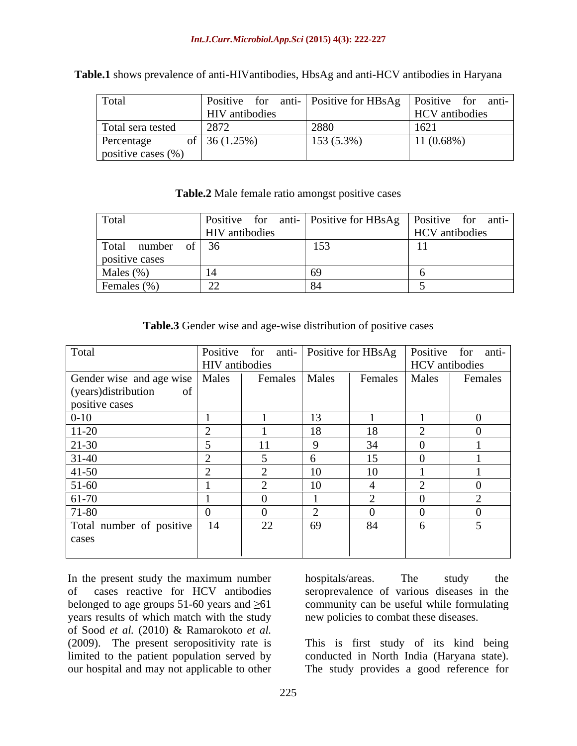| Total                  |    | Positive<br>anti-<br>tor | <b>Positive for HBsAg</b> | Positive for<br>anti- |
|------------------------|----|--------------------------|---------------------------|-----------------------|
|                        |    | HIV antibodies           |                           | <b>HCV</b> antibodies |
| Total sera tested      |    | 2872                     | 2880                      | $\sim$ $\sim$<br>└ ∪∠ |
| Percentage             | Оİ | 36(1.25%)                | $153(5.3\%)$              | 11(0.68%)             |
| positive cases $(\% )$ |    |                          |                           |                       |

**Table.1** shows prevalence of anti-HIVantibodies, HbsAg and anti-HCV antibodies in Haryana

#### **Table.2** Male female ratio amongst positive cases

| Total           | Positive<br>for<br>antı- |           | Positive for HBsAg   Positive for anti- |
|-----------------|--------------------------|-----------|-----------------------------------------|
|                 | HIV antibodies           |           | <b>HCV</b> antibodies                   |
| Total<br>number | of $\vert$ 36            | $\ddotsc$ |                                         |
| positive cases  |                          |           |                                         |
| Males $(\%)$    |                          |           |                                         |
| Females (%)     |                          |           |                                         |

**Table.3** Gender wise and age-wise distribution of positive cases

| Total                            |                       | Positive for anti- Positive for HBsAg |                |         |                       | Positive for anti- |
|----------------------------------|-----------------------|---------------------------------------|----------------|---------|-----------------------|--------------------|
|                                  | <b>HIV</b> antibodies |                                       |                |         | <b>HCV</b> antibodies |                    |
| Gender wise and age wise   Males |                       | Females   Males                       |                | Females | Males                 | Females            |
| (years)distribution<br>$\sigma$  |                       |                                       |                |         |                       |                    |
| positive cases                   |                       |                                       |                |         |                       |                    |
| $0 - 10$                         |                       |                                       | $\overline{ }$ |         |                       |                    |
| $11-20$                          |                       |                                       |                | 18      |                       |                    |
| $21-30$                          |                       | 11                                    |                | 34      | - ( )                 |                    |
| $31-40$                          |                       |                                       |                | 15      | $\Omega$              |                    |
| $41 - 50$                        |                       |                                       |                | 10      |                       |                    |
| $51-60$                          |                       | ∸                                     |                |         |                       |                    |
| 61-70                            |                       |                                       |                |         | - ( )                 |                    |
| 71-80                            |                       |                                       |                |         | $\sqrt{ }$            |                    |
| Total number of positive         | 14                    | 22                                    | 69             | 84      |                       |                    |
| cases                            |                       |                                       |                |         |                       |                    |
|                                  |                       |                                       |                |         |                       |                    |

In the present study the maximum number<br>of cases reactive for HCV antibodies<br>of seroprevalence of various diseases in the of cases reactive for HCV antibodies seroprevalence of various diseases in the belonged to age groups 51-60 years and  $\geq 61$  community can be useful while formulating years results of which match with the study of Sood *et al.* (2010) & Ramarokoto *et al.* our hospital and may not applicable to other

hospitals/areas. The study the new policies to combat these diseases.

(2009). The present seropositivity rate is This is first study of its kind being limited to the patient population served by conducted in North India (Haryana state). The study provides a good reference for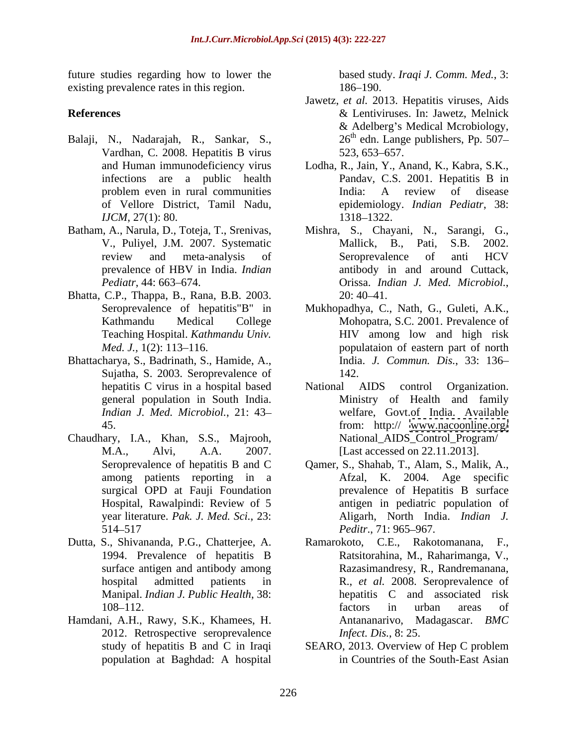future studies regarding how to lower the existing prevalence rates in this region. 186–190.

- Balaji, N., Nadarajah, R., Sankar, S., Vardhan, C. 2008. Hepatitis B virus 523, 653–657. *IJCM*, 27(1): 80.
- Batham, A., Narula, D., Toteja, T., Srenivas,
- Bhatta, C.P., Thappa, B., Rana, B.B. 2003.
- Bhattacharya, S., Badrinath, S., Hamide, A., Sujatha, S. 2003. Seroprevalence of 142.
- Chaudhary, I.A., Khan, S.S., Majrooh, among patients reporting in a year literature. *Pak. J. Med. Sci.*, 23:
- Dutta, S., Shivananda, P.G., Chatterjee, A.
- Hamdani, A.H., Rawy, S.K., Khamees, H. 2012. Retrospective seroprevalence

based study. *Iraqi J. Comm.Med.*, 3: 186–190.

- **References** & Lentiviruses. In: Jawetz, Melnick Jawetz, *et al.* 2013. Hepatitis viruses, Aids & Lentiviruses. In: Jawetz, Melnick & Adelberg's Medical Mcrobiology, 26<sup>th</sup> edn. Lange publishers, Pp. 507– 523, 653 657.
	- and Human immunodeficiency virus Lodha, R., Jain, Y., Anand, K., Kabra, S.K., infections are a public health Pandav, C.S. 2001. Hepatitis B in problem even in rural communities **and a** India: A review of disease of Vellore District, Tamil Nadu, epidemiology. *Indian Pediatr*, 38: India: A review of disease 1318–1322.
	- V., Puliyel, J.M. 2007. Systematic review and meta-analysis of Seroprevalence of anti HCV prevalence of HBV in India. *Indian*  antibody in and around Cuttack, *Pediatr*, 44: 663–674. *Pediatr*, 44: 663–674. *Pediatr*, 44: 663–674. Mishra, S., Chayani, N., Sarangi, G., Mallick, B., Pati, S.B. 2002. Seroprevalence of anti HCV Orissa. *Indian J. Med. Microbiol.*, 20: 40 41.
	- Seroprevalence of hepatitis"B" in Mukhopadhya, C., Nath, G., Guleti, A.K., Kathmandu Medical College Mohopatra, S.C. 2001. Prevalence of Teaching Hospital. *Kathmandu Univ.*  HIV among low and high risk *Med. J.*, 1(2): 113–116. The populate of eastern part of north India. *J. Commun. Dis.*, 33: 136 142.
	- hepatitis C virus in a hospital based Mational AIDS control Organization. general population in South India. Ministry of Health and family *Indian J. Med. Microbiol.*, 21: 43 welfare, Govt.of India. Available 45. **from:** http:// [www.nacoonline.org/](http://www.nacoonline.org/) M.A., Alvi, A.A. 2007. [Last accessed on 22.11.2013]. National AIDS control Organization. National\_AIDS\_Control\_Program/
	- Seroprevalence of hepatitis B and C Qamer, S., Shahab, T., Alam, S., Malik, A., surgical OPD at Fauji Foundation prevalence of Hepatitis B surface Hospital, Rawalpindi: Review of 5 514–517 Peditr., 71: 965–967. Afzal, K. 2004. Age specific antigen in pediatric population of Aligarh, North India. *Indian J. Peditr.*, 71: 965–967.
	- 1994. Prevalence of hepatitis B surface antigen and antibody among Razasimandresy, R., Randremanana, hospital admitted patients in R., *et al.* 2008. Seroprevalence of Manipal. *Indian J. Public Health*, 38: hepatitis C and associated risk 108–112. **Example 108** areas of the factors in urban areas of Ramarokoto, C.E., Rakotomanana, Ratsitorahina, M., Raharimanga, V., factors in urban areas of Antananarivo, Madagascar. *BMC Infect. Dis.*, 8: 25.
	- study of hepatitis B and C in Iraqi SEARO, 2013. Overview of Hep C problem population at Baghdad: A hospital in Countries of the South-East Asian